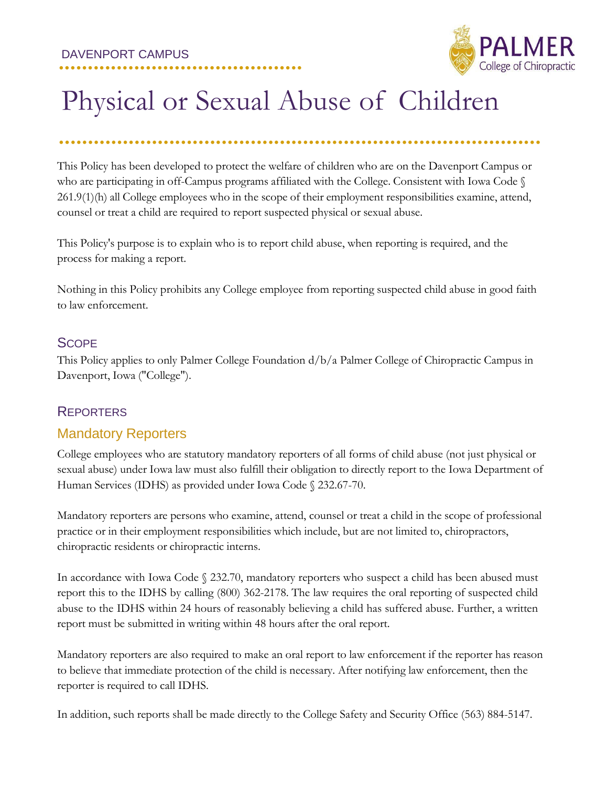

# Physical or Sexual Abuse of Children

**....................**

## **...................................................................................**

This Policy has been developed to protect the welfare of children who are on the Davenport Campus or who are participating in off-Campus programs affiliated with the College. Consistent with Iowa Code § 261.9(1)(h) all College employees who in the scope of their employment responsibilities examine, attend, counsel or treat a child are required to report suspected physical or sexual abuse.

This Policy's purpose is to explain who is to report child abuse, when reporting is required, and the process for making a report.

Nothing in this Policy prohibits any College employee from reporting suspected child abuse in good faith to law enforcement.

### **SCOPE**

This Policy applies to only Palmer College Foundation d/b/a Palmer College of Chiropractic Campus in Davenport, Iowa ("College").

## **REPORTERS**

## Mandatory Reporters

College employees who are statutory mandatory reporters of all forms of child abuse (not just physical or sexual abuse) under Iowa law must also fulfill their obligation to directly report to the Iowa Department of Human Services (IDHS) as provided under Iowa Code § 232.67-70.

Mandatory reporters are persons who examine, attend, counsel or treat a child in the scope of professional practice or in their employment responsibilities which include, but are not limited to, chiropractors, chiropractic residents or chiropractic interns.

In accordance with Iowa Code § 232.70, mandatory reporters who suspect a child has been abused must report this to the IDHS by calling (800) 362-2178. The law requires the oral reporting of suspected child abuse to the IDHS within 24 hours of reasonably believing a child has suffered abuse. Further, a written report must be submitted in writing within 48 hours after the oral report.

Mandatory reporters are also required to make an oral report to law enforcement if the reporter has reason to believe that immediate protection of the child is necessary. After notifying law enforcement, then the reporter is required to call IDHS.

In addition, such reports shall be made directly to the College Safety and Security Office (563) 884-5147.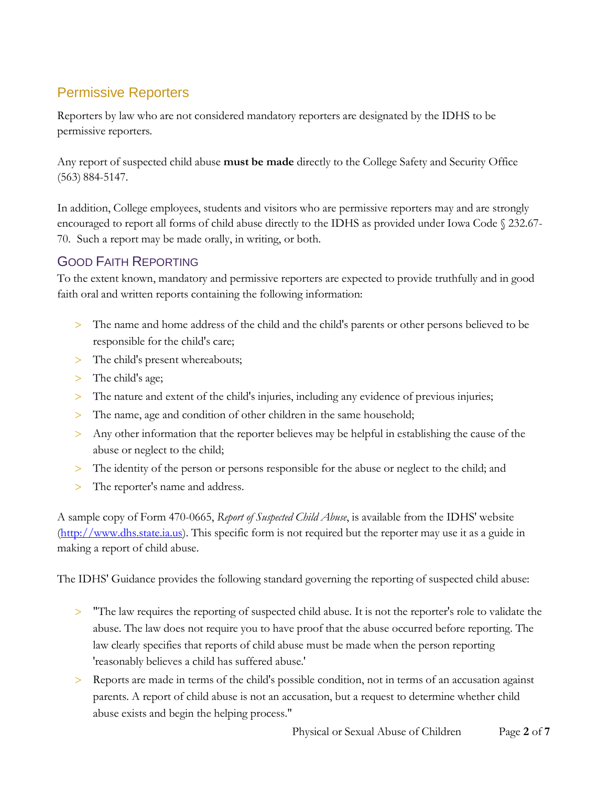## Permissive Reporters

Reporters by law who are not considered mandatory reporters are designated by the IDHS to be permissive reporters.

Any report of suspected child abuse **must be made** directly to the College Safety and Security Office (563) 884-5147.

In addition, College employees, students and visitors who are permissive reporters may and are strongly encouraged to report all forms of child abuse directly to the IDHS as provided under Iowa Code § 232.67- 70. Such a report may be made orally, in writing, or both.

## GOOD FAITH REPORTING

To the extent known, mandatory and permissive reporters are expected to provide truthfully and in good faith oral and written reports containing the following information:

- The name and home address of the child and the child's parents or other persons believed to be responsible for the child's care;
- > The child's present whereabouts;
- > The child's age;
- The nature and extent of the child's injuries, including any evidence of previous injuries;
- > The name, age and condition of other children in the same household;
- Any other information that the reporter believes may be helpful in establishing the cause of the abuse or neglect to the child;
- The identity of the person or persons responsible for the abuse or neglect to the child; and
- > The reporter's name and address.

A sample copy of Form 470-0665, *Report of Suspected Child Abuse*, is available from the IDHS' website [\(http://www.dhs.state.ia.us\)](http://www.dhs.state.ia.us/). This specific form is not required but the reporter may use it as a guide in making a report of child abuse.

The IDHS' Guidance provides the following standard governing the reporting of suspected child abuse:

- "The law requires the reporting of suspected child abuse. It is not the reporter's role to validate the abuse. The law does not require you to have proof that the abuse occurred before reporting. The law clearly specifies that reports of child abuse must be made when the person reporting 'reasonably believes a child has suffered abuse.'
- Reports are made in terms of the child's possible condition, not in terms of an accusation against parents. A report of child abuse is not an accusation, but a request to determine whether child abuse exists and begin the helping process."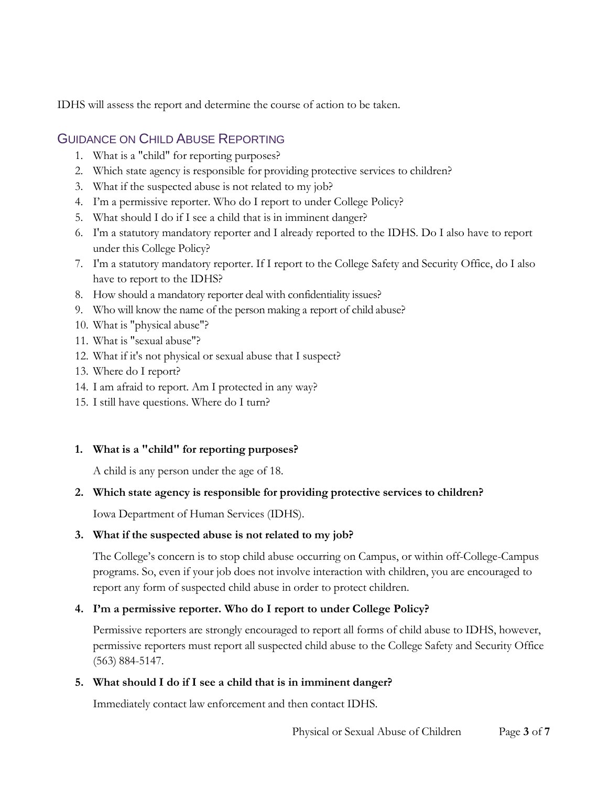IDHS will assess the report and determine the course of action to be taken.

## GUIDANCE ON CHILD ABUSE REPORTING

- 1. What is a "child" for reporting purposes?
- 2. Which state agency is responsible for providing protective services to children?
- 3. What if the suspected abuse is not related to my job?
- 4. I'm a permissive reporter. Who do I report to under College Policy?
- 5. What should I do if I see a child that is in imminent danger?
- 6. I'm a statutory mandatory reporter and I already reported to the IDHS. Do I also have to report under this College Policy?
- 7. I'm a statutory mandatory reporter. If I report to the College Safety and Security Office, do I also have to report to the IDHS?
- 8. How should a mandatory reporter deal with confidentiality issues?
- 9. Who will know the name of the person making a report of child abuse?
- 10. What is "physical abuse"?
- 11. What is "sexual abuse"?
- 12. What if it's not physical or sexual abuse that I suspect?
- 13. Where do I report?
- 14. I am afraid to report. Am I protected in any way?
- 15. I still have questions. Where do I turn?

#### **1. What is a "child" for reporting purposes?**

A child is any person under the age of 18.

#### **2. Which state agency is responsible for providing protective services to children?**

Iowa Department of Human Services (IDHS).

#### **3. What if the suspected abuse is not related to my job?**

The College's concern is to stop child abuse occurring on Campus, or within off-College-Campus programs. So, even if your job does not involve interaction with children, you are encouraged to report any form of suspected child abuse in order to protect children.

#### **4. I'm a permissive reporter. Who do I report to under College Policy?**

Permissive reporters are strongly encouraged to report all forms of child abuse to IDHS, however, permissive reporters must report all suspected child abuse to the College Safety and Security Office (563) 884-5147.

#### **5. What should I do if I see a child that is in imminent danger?**

Immediately contact law enforcement and then contact IDHS.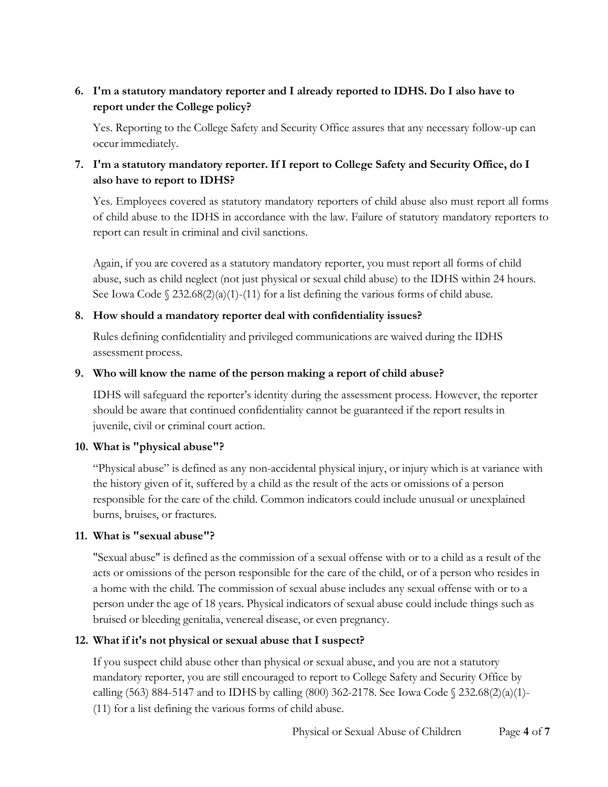#### **6. I'm a statutory mandatory reporter and I already reported to IDHS. Do I also have to report under the College policy?**

Yes. Reporting to the College Safety and Security Office assures that any necessary follow-up can occur immediately.

#### **7. I'm a statutory mandatory reporter. If I report to College Safety and Security Office, do I also have to report to IDHS?**

Yes. Employees covered as statutory mandatory reporters of child abuse also must report all forms of child abuse to the IDHS in accordance with the law. Failure of statutory mandatory reporters to report can result in criminal and civil sanctions.

Again, if you are covered as a statutory mandatory reporter, you must report all forms of child abuse, such as child neglect (not just physical or sexual child abuse) to the IDHS within 24 hours. See Iowa Code  $\S$  232.68(2)(a)(1)-(11) for a list defining the various forms of child abuse.

#### **8. How should a mandatory reporter deal with confidentiality issues?**

Rules defining confidentiality and privileged communications are waived during the IDHS assessment process.

#### **9. Who will know the name of the person making a report of child abuse?**

IDHS will safeguard the reporter's identity during the assessment process. However, the reporter should be aware that continued confidentiality cannot be guaranteed if the report results in juvenile, civil or criminal court action.

#### **10. What is "physical abuse"?**

"Physical abuse" is defined as any non-accidental physical injury, or injury which is at variance with the history given of it, suffered by a child as the result of the acts or omissions of a person responsible for the care of the child. Common indicators could include unusual or unexplained burns, bruises, or fractures.

#### **11. What is "sexual abuse"?**

"Sexual abuse" is defined as the commission of a sexual offense with or to a child as a result of the acts or omissions of the person responsible for the care of the child, or of a person who resides in a home with the child. The commission of sexual abuse includes any sexual offense with or to a person under the age of 18 years. Physical indicators of sexual abuse could include things such as bruised or bleeding genitalia, venereal disease, or even pregnancy.

#### **12. What if it's not physical or sexual abuse that I suspect?**

If you suspect child abuse other than physical or sexual abuse, and you are not a statutory mandatory reporter, you are still encouraged to report to College Safety and Security Office by calling (563) 884-5147 and to IDHS by calling (800) 362-2178. See Iowa Code § 232.68(2)(a)(1)- (11) for a list defining the various forms of child abuse.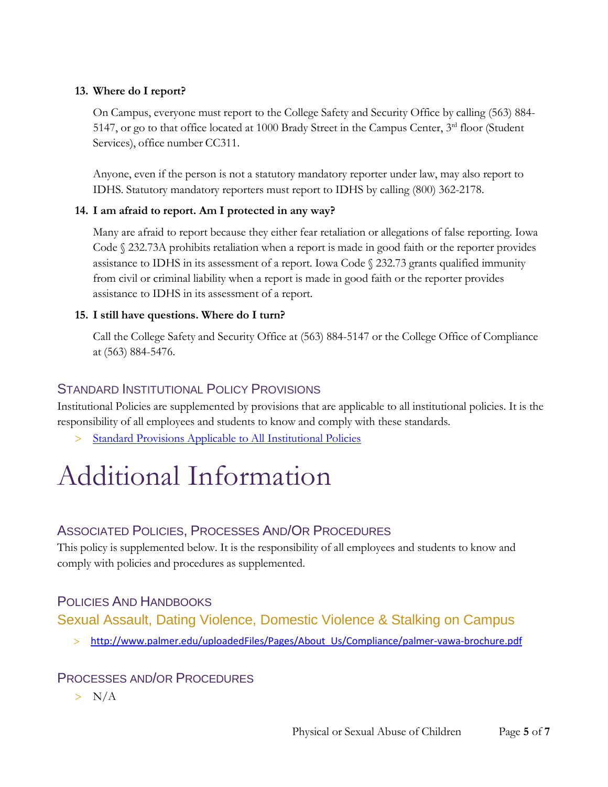#### **13. Where do I report?**

On Campus, everyone must report to the College Safety and Security Office by calling (563) 884- 5147, or go to that office located at 1000 Brady Street in the Campus Center,  $3<sup>rd</sup>$  floor (Student Services), office number CC311.

Anyone, even if the person is not a statutory mandatory reporter under law, may also report to IDHS. Statutory mandatory reporters must report to IDHS by calling (800) 362-2178.

#### **14. I am afraid to report. Am I protected in any way?**

Many are afraid to report because they either fear retaliation or allegations of false reporting. Iowa Code § 232.73A prohibits retaliation when a report is made in good faith or the reporter provides assistance to IDHS in its assessment of a report. Iowa Code § 232.73 grants qualified immunity from civil or criminal liability when a report is made in good faith or the reporter provides assistance to IDHS in its assessment of a report.

#### **15. I still have questions. Where do I turn?**

Call the College Safety and Security Office at (563) 884-5147 or the College Office of Compliance at (563) 884-5476.

## STANDARD INSTITUTIONAL POLICY PROVISIONS

Institutional Policies are supplemented by provisions that are applicable to all institutional policies. It is the responsibility of all employees and students to know and comply with these standards.

Standard Provisions Applicable to [All Institutional](https://portal.palmer.edu/departments/Office%20of%20Strategic%20Development/Current%20Policies/Standard%20Provisions%20Applicable%20to%20All%20Institutional%20Policies.pdf) Policies

# Additional Information

## ASSOCIATED POLICIES, PROCESSES AND/OR PROCEDURES

This policy is supplemented below. It is the responsibility of all employees and students to know and comply with policies and procedures as supplemented.

## POLICIES AND HANDBOOKS

Sexual Assault, Dating Violence, Domestic Violence & Stalking on Campus

> [http://www.palmer.edu/uploadedFiles/Pages/About\\_Us/Compliance/palmer-vawa-brochure.pdf](http://www.palmer.edu/uploadedFiles/Pages/About_Us/Compliance/palmer-vawa-brochure.pdf)

#### PROCESSES AND/OR PROCEDURES

 $> N/A$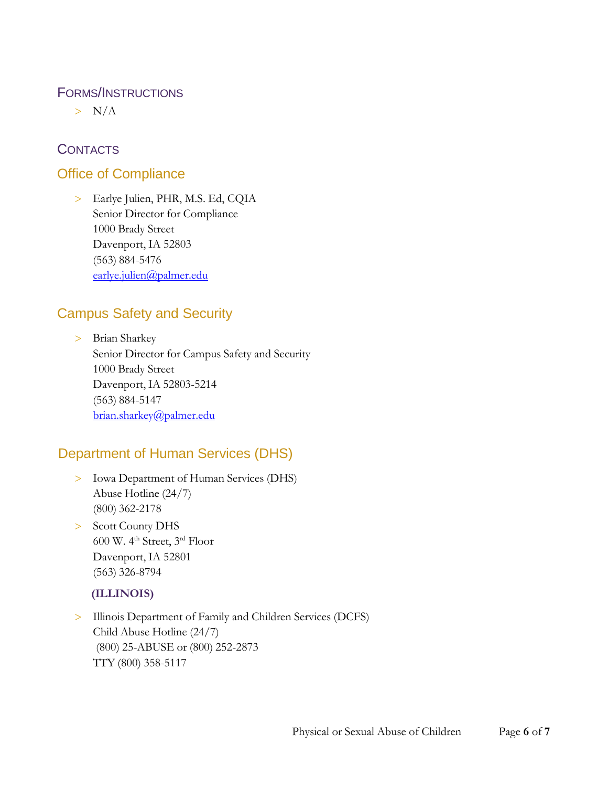#### FORMS/INSTRUCTIONS

 $> N/A$ 

## **CONTACTS**

## Office of Compliance

 Earlye Julien, PHR, M.S. Ed, CQIA Senior Director for Compliance 1000 Brady Street Davenport, IA 52803 (563) 884-5476 [earlye.julien@palmer.edu](mailto:earlye.julien@palmer.edu)

## Campus Safety and Security

 Brian Sharkey Senior Director for Campus Safety and Security 1000 Brady Street Davenport, IA 52803-5214 (563) 884-5147 [brian.sharkey@palmer.edu](mailto:brian.sharkey@palmer.edu)

## Department of Human Services (DHS)

- Iowa Department of Human Services (DHS) Abuse Hotline (24/7) (800) 362-2178
- > Scott County DHS 600 W. 4 th Street, 3 rd Floor Davenport, IA 52801 (563) 326-8794

## **(ILLINOIS)**

 Illinois Department of Family and Children Services (DCFS) Child Abuse Hotline (24/7) (800) 25-ABUSE or (800) 252-2873 TTY (800) 358-5117